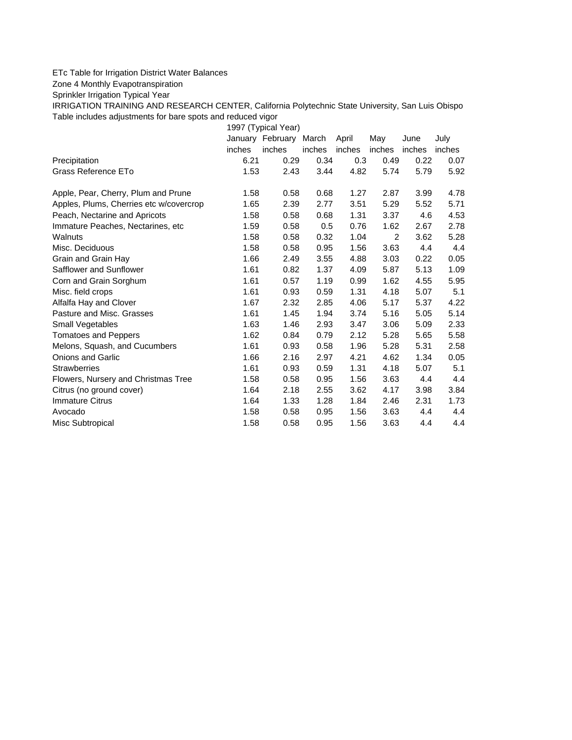## ETc Table for Irrigation District Water Balances

Zone 4 Monthly Evapotranspiration

Sprinkler Irrigation Typical Year

IRRIGATION TRAINING AND RESEARCH CENTER, California Polytechnic State University, San Luis Obispo Table includes adjustments for bare spots and reduced vigor

1997 (Typical Year) January February March April May June July inches inches inches inches inches inches inches Precipitation 6.21 0.29 0.34 0.3 0.49 0.22 0.07 Grass Reference ETo **1.53** 2.43 3.44 4.82 5.74 5.79 5.92 Apple, Pear, Cherry, Plum and Prune 1.58 0.58 0.68 1.27 2.87 3.99 4.78 Apples, Plums, Cherries etc w/covercrop 1.65 2.39 2.77 3.51 5.29 5.52 5.71 Peach, Nectarine and Apricots 1.58 0.58 0.68 1.31 3.37 4.6 4.53 Immature Peaches, Nectarines, etc 1.59 0.58 0.5 0.76 1.62 2.67 2.78 Walnuts 1.58 0.58 0.32 1.04 2 3.62 5.28 Misc. Deciduous 1.58 0.58 0.95 1.56 3.63 4.4 4.4 Grain and Grain Hay 1.66 2.49 3.55 4.88 3.03 0.22 0.05 Safflower and Sunflower 1.61 0.82 1.37 4.09 5.87 5.13 1.09 Corn and Grain Sorghum 1.61 0.57 1.19 0.99 1.62 4.55 5.95 Misc. field crops 1.61 0.93 0.59 1.31 4.18 5.07 5.1 Alfalfa Hay and Clover 1.67 2.32 2.85 4.06 5.17 5.37 4.22 Pasture and Misc. Grasses 1.61 1.45 1.94 3.74 5.16 5.05 5.14 Small Vegetables 1.63 1.46 2.93 3.47 3.06 5.09 2.33 Tomatoes and Peppers 1.62 0.84 0.79 2.12 5.28 5.65 5.58 Melons, Squash, and Cucumbers 1.61 0.93 0.58 1.96 5.28 5.31 2.58 Onions and Garlic 1.66 2.16 2.97 4.21 4.62 1.34 0.05 Strawberries 1.61 0.93 0.59 1.31 4.18 5.07 5.1 Flowers, Nursery and Christmas Tree  $1.58$  0.58 0.95 1.56 3.63 4.4 4.4 Citrus (no ground cover) 1.64 2.18 2.55 3.62 4.17 3.98 3.84 Immature Citrus 1.64 1.33 1.28 1.84 2.46 2.31 1.73 Avocado 1.58 0.58 0.95 1.56 3.63 4.4 4.4 Misc Subtropical 1.58 0.58 0.95 1.56 3.63 4.4 4.4